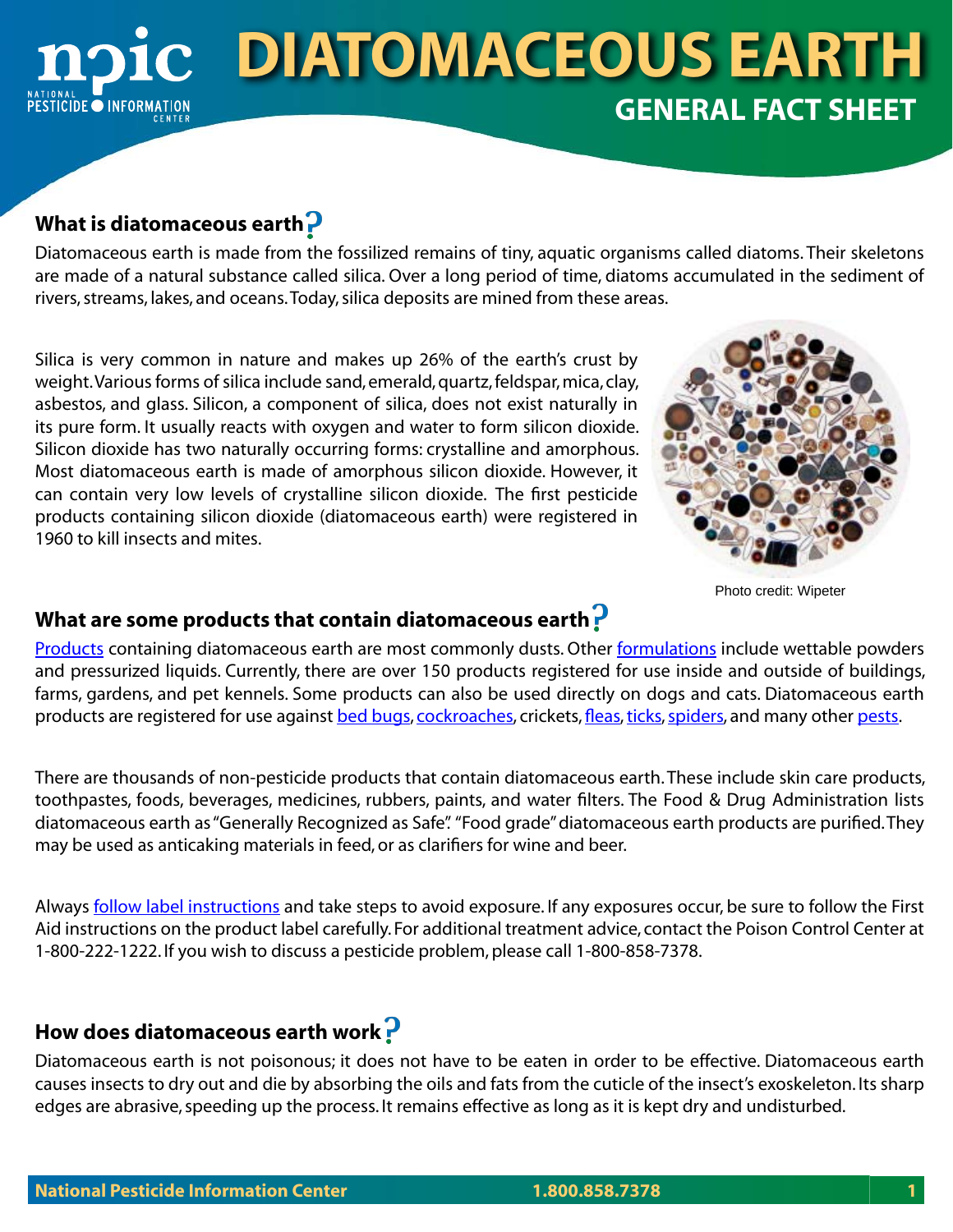# **diatomaceous earth GENERAL FACT SHEET ICIDE OINFORMATION**

### **What is diatomaceous earth**

Diatomaceous earth is made from the fossilized remains of tiny, aquatic organisms called diatoms. Their skeletons are made of a natural substance called silica. Over a long period of time, diatoms accumulated in the sediment of rivers, streams, lakes, and oceans. Today, silica deposits are mined from these areas.

Silica is very common in nature and makes up 26% of the earth's crust by weight. Various forms of silica include sand, emerald, quartz, feldspar, mica, clay, asbestos, and glass. Silicon, a component of silica, does not exist naturally in its pure form. It usually reacts with oxygen and water to form silicon dioxide. Silicon dioxide has two naturally occurring forms: crystalline and amorphous. Most diatomaceous earth is made of amorphous silicon dioxide. However, it can contain very low levels of crystalline silicon dioxide. The first pesticide products containing silicon dioxide (diatomaceous earth) were registered in 1960 to kill insects and mites.



Photo credit: Wipeter

## **What are some products that contain diatomaceous earth**

[Products](http://npic.orst.edu/ingred/products.html) containing diatomaceous earth are most commonly dusts. Other <u>[formulations](http://npic.orst.edu/factsheets/formulations.html)</u> include wettable powders and pressurized liquids. Currently, there are over 150 products registered for use inside and outside of buildings, farms, gardens, and pet kennels. Some products can also be used directly on dogs and cats. Diatomaceous earth products are registered for use against [bed bugs,](http://npic.orst.edu/pest/bedbug.html) [cockroaches,](http://npic.orst.edu/pest/roach.html) crickets, [fleas,](http://npic.orst.edu/pest/flea.html) [ticks](http://npic.orst.edu/pest/tick/index.html), [spiders](http://npic.orst.edu/pest/spiders.html), and many other [pests](http://npic.orst.edu/pest/pestname.html).

There are thousands of non-pesticide products that contain diatomaceous earth. These include skin care products, toothpastes, foods, beverages, medicines, rubbers, paints, and water filters. The Food & Drug Administration lists diatomaceous earth as "Generally Recognized as Safe". "Food grade" diatomaceous earth products are purified. They may be used as anticaking materials in feed, or as clarifiers for wine and beer.

Always **follow label instructions** and take steps to avoid exposure. If any exposures occur, be sure to follow the First Aid instructions on the product label carefully. For additional treatment advice, contact the Poison Control Center at 1-800-222-1222. If you wish to discuss a pesticide problem, please call 1-800-858-7378.

## **How does diatomaceous earth work**

Diatomaceous earth is not poisonous; it does not have to be eaten in order to be effective. Diatomaceous earth causes insects to dry out and die by absorbing the oils and fats from the cuticle of the insect's exoskeleton. Its sharp edges are abrasive, speeding up the process. It remains effective as long as it is kept dry and undisturbed.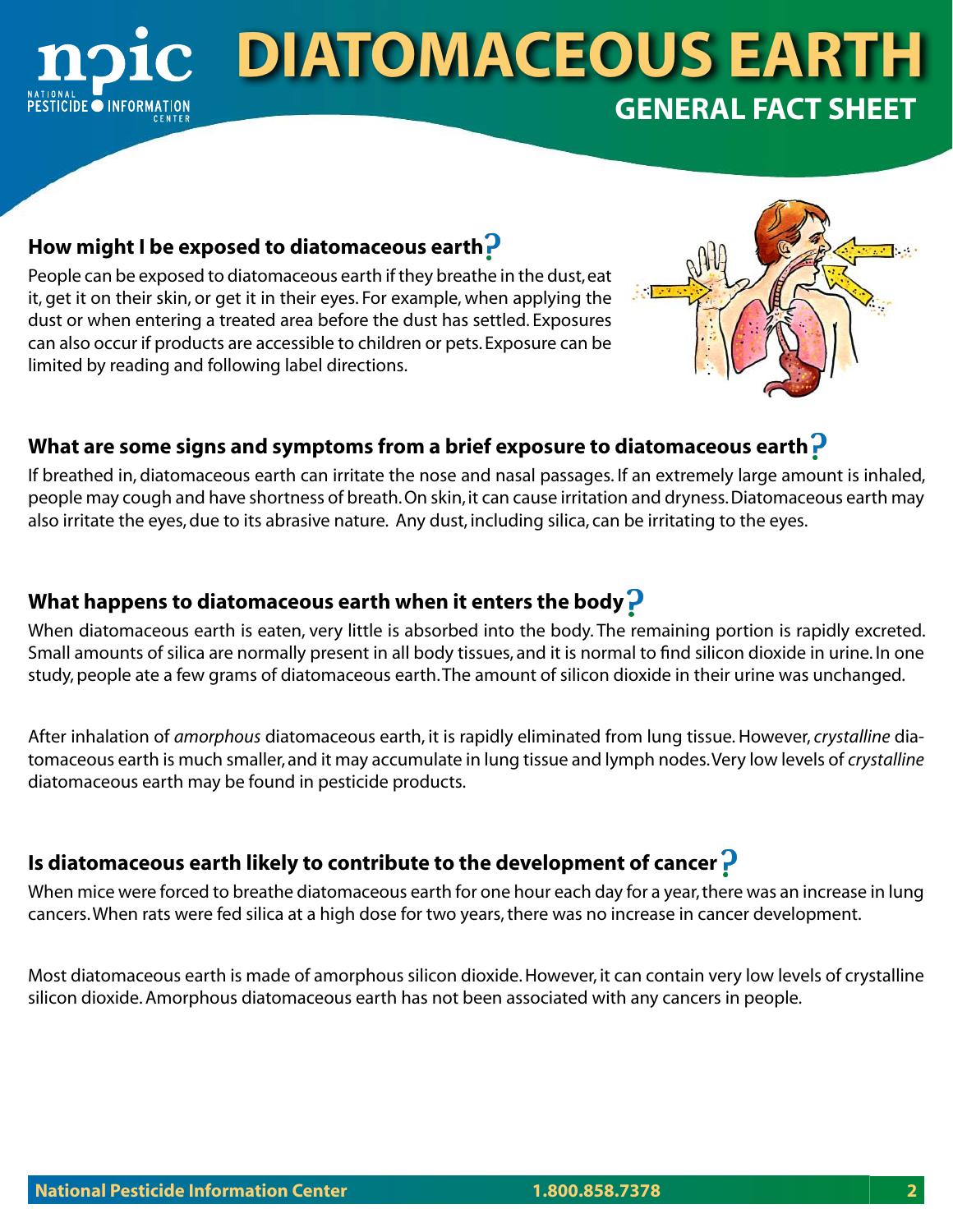## **diatomaceous earth GENERAL FACT SHEET** TICIDE O INFORMATION

### **How might I be exposed to diatomaceous earth**

People can be exposed to diatomaceous earth if they breathe in the dust, eat it, get it on their skin, or get it in their eyes. For example, when applying the dust or when entering a treated area before the dust has settled. Exposures can also occur if products are accessible to children or pets. Exposure can be limited by reading and following label directions.



### **What are some signs and symptoms from a brief exposure to diatomaceous earth**

If breathed in, diatomaceous earth can irritate the nose and nasal passages. If an extremely large amount is inhaled, people may cough and have shortness of breath. On skin, it can cause irritation and dryness. Diatomaceous earth may also irritate the eyes, due to its abrasive nature. Any dust, including silica, can be irritating to the eyes.

### **What happens to diatomaceous earth when it enters the body**

When diatomaceous earth is eaten, very little is absorbed into the body. The remaining portion is rapidly excreted. Small amounts of silica are normally present in all body tissues, and it is normal to find silicon dioxide in urine. In one study, people ate a few grams of diatomaceous earth. The amount of silicon dioxide in their urine was unchanged.

After inhalation of *amorphous* diatomaceous earth, it is rapidly eliminated from lung tissue. However, *crystalline* diatomaceous earth is much smaller, and it may accumulate in lung tissue and lymph nodes. Very low levels of *crystalline* diatomaceous earth may be found in pesticide products.

### **Is diatomaceous earth likely to contribute to the development of cancer**

When mice were forced to breathe diatomaceous earth for one hour each day for a year, there was an increase in lung cancers. When rats were fed silica at a high dose for two years, there was no increase in cancer development.

Most diatomaceous earth is made of amorphous silicon dioxide. However, it can contain very low levels of crystalline silicon dioxide. Amorphous diatomaceous earth has not been associated with any cancers in people.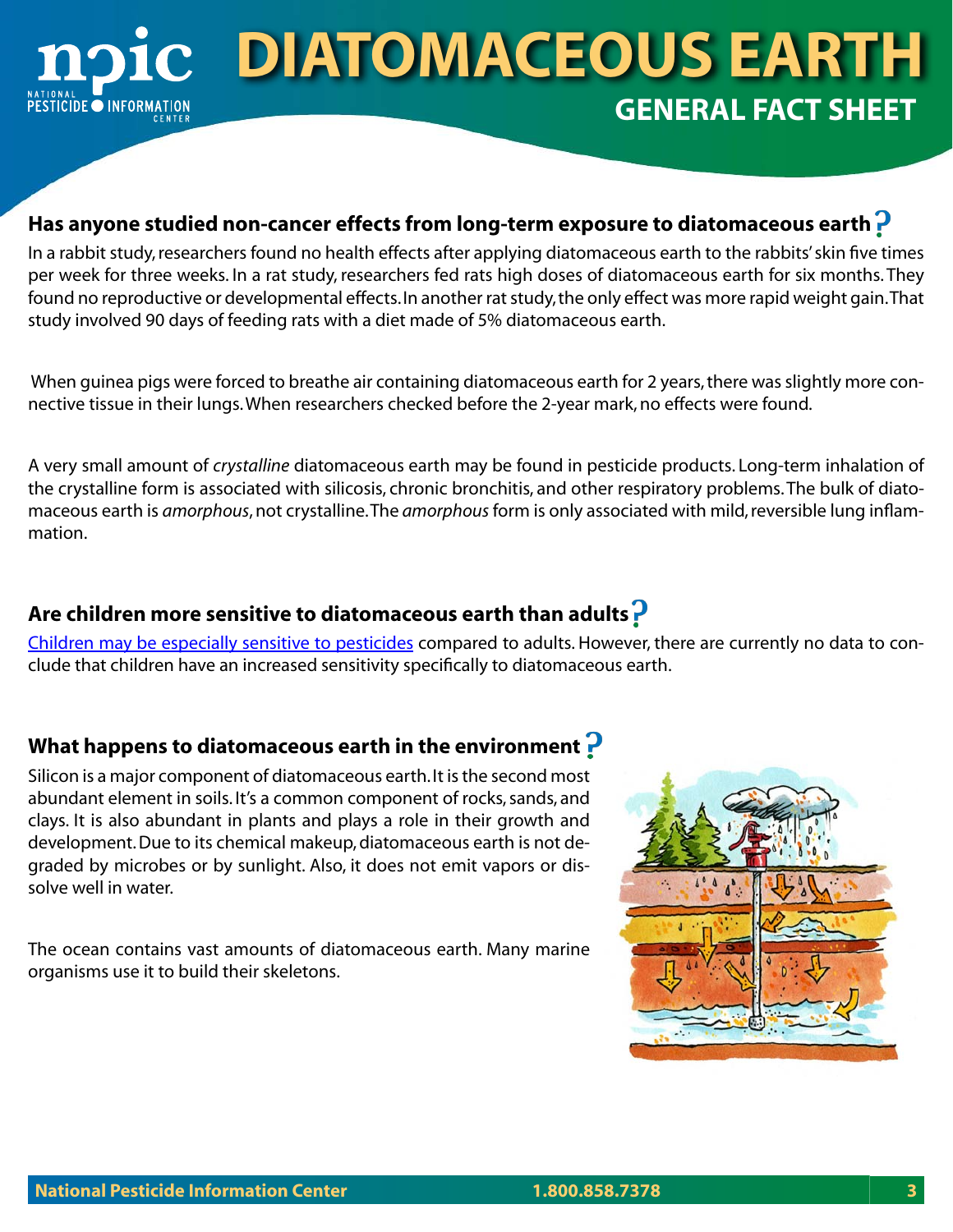# **diatomaceous earth GENERAL FACT SHEET PESTICIDE O INFORMATION**

#### **Has anyone studied non-cancer effects from long-term exposure to diatomaceous earth**

In a rabbit study, researchers found no health effects after applying diatomaceous earth to the rabbits' skin five times per week for three weeks. In a rat study, researchers fed rats high doses of diatomaceous earth for six months. They found no reproductive or developmental effects. In another rat study, the only effect was more rapid weight gain. That study involved 90 days of feeding rats with a diet made of 5% diatomaceous earth.

 When guinea pigs were forced to breathe air containing diatomaceous earth for 2 years, there was slightly more connective tissue in their lungs. When researchers checked before the 2-year mark, no effects were found.

A very small amount of *crystalline* diatomaceous earth may be found in pesticide products. Long-term inhalation of the crystalline form is associated with silicosis, chronic bronchitis, and other respiratory problems. The bulk of diatomaceous earth is *amorphous*, not crystalline. The *amorphous* form is only associated with mild, reversible lung inflammation.

## **Are children more sensitive to diatomaceous earth than adults**

C[hildren may be especially sensitive to pesticides](http://npic.orst.edu/health/child.html) compared to adults. However, there are currently no data to conclude that children have an increased sensitivity specifically to diatomaceous earth.

#### **What happens to diatomaceous earth in the environment**

Silicon is a major component of diatomaceous earth. It is the second most abundant element in soils. It's a common component of rocks, sands, and clays. It is also abundant in plants and plays a role in their growth and development. Due to its chemical makeup, diatomaceous earth is not degraded by microbes or by sunlight. Also, it does not emit vapors or dissolve well in water.

The ocean contains vast amounts of diatomaceous earth. Many marine organisms use it to build their skeletons.